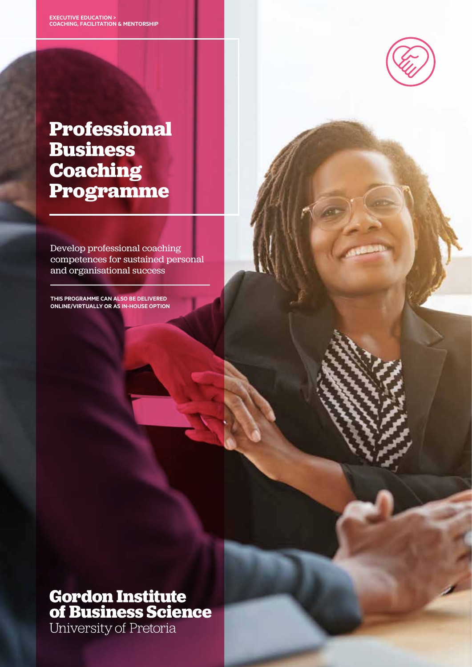

# **Professional Business Coaching Programme**

Develop professional coaching competences for sustained personal and organisational success

**This programme can also be delivered online/virtually or as in-house option**

# **Gordon Institute<br>of Business Science**

University of Pretoria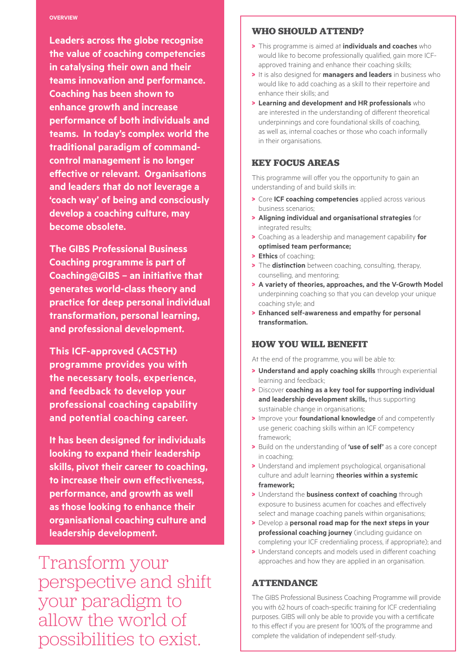#### **OVERVIEW**

**Leaders across the globe recognise the value of coaching competencies strategy, and the finance function in catalysing their own and their of a business is overlooked. teams innovation and performance. Organisations therefore miss out Coaching has been shown to on the opportunity to generate enhance growth and increase performance of both individuals and** teams. In today's complex world the **the organisation against each other. traditional paradigm of command-This is a programme for those who control management is no longer**  effective or relevant. Organisations **aspects of how strategy and finance and leaders that do not leverage a can interact, and how financial value 'coach way' of being and consciously develop a coaching culture, may**  develop a coaching culture, may **become obsolete.** 

**The GIBS Professional Business Coaching programme is part of Coaching@GIBS – an initiative that generates world-class theory and practice for deep personal individual transformation, personal learning, and professional development.** 

**This ICF-approved (ACSTH) programme provides you with the necessary tools, experience, and feedback to develop your professional coaching capability and potential coaching career.** 

**It has been designed for individuals looking to expand their leadership skills, pivot their career to coaching, to increase their own effectiveness, performance, and growth as well as those looking to enhance their organisational coaching culture and leadership development.** 

Transform your perspective and shift your paradigm to allow the world of possibilities to exist.

#### **who should attend?**

- > This programme is aimed at **individuals and coaches** who would like to become professionally qualified, gain more ICFapproved training and enhance their coaching skills;
- > It is also designed for **managers and leaders** in business who would like to add coaching as a skill to their repertoire and enhance their skills; and
- > **Learning and development and HR professionals** who are interested in the understanding of different theoretical underpinnings and core foundational skills of coaching, as well as, internal coaches or those who coach informally in their organisations.

#### **key FOCUS AREAS**

This programme will offer you the opportunity to gain an understanding of and build skills in:

- > Core **ICF coaching competencies** applied across various business scenarios;
- > **Aligning individual and organisational strategies** for integrated results;
- > Coaching as a leadership and management capability **for optimised team performance;**
- > **Ethics** of coaching;
- > The **distinction** between coaching, consulting, therapy, counselling, and mentoring;
- > **A variety of theories, approaches, and the V-Growth Model**  underpinning coaching so that you can develop your unique coaching style; and
- > **Enhanced self-awareness and empathy for personal transformation.**

## **How you will benefit**

At the end of the programme, you will be able to:

- > **Understand and apply coaching skills** through experiential learning and feedback;
- > Discover **coaching as a key tool for supporting individual and leadership development skills,** thus supporting sustainable change in organisations;
- > Improve your **foundational knowledge** of and competently use generic coaching skills within an ICF competency framework;
- > Build on the understanding of **'use of self'** as a core concept in coaching;
- > Understand and implement psychological, organisational culture and adult learning **theories within a systemic framework;**
- > Understand the **business context of coaching** through exposure to business acumen for coaches and effectively select and manage coaching panels within organisations;
- > Develop a **personal road map for the next steps in your professional coaching journey** (including guidance on completing your ICF credentialing process, if appropriate); and
- > Understand concepts and models used in different coaching approaches and how they are applied in an organisation.

#### **ATTENDANCE**

The GIBS Professional Business Coaching Programme will provide you with 62 hours of coach-specific training for ICF credentialing purposes. GIBS will only be able to provide you with a certificate to this effect if you are present for 100% of the programme and complete the validation of independent self-study.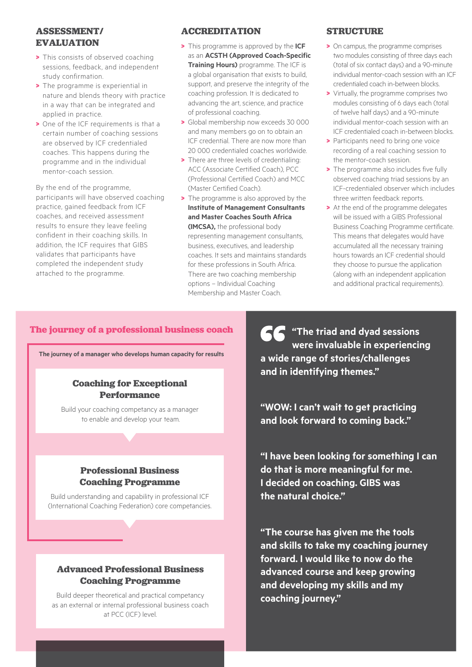# **ASSESSMENT/ EVALUATION**

- > This consists of observed coaching sessions, feedback, and independent study confirmation.
- > The programme is experiential in nature and blends theory with practice in a way that can be integrated and applied in practice.
- > One of the ICF requirements is that a certain number of coaching sessions are observed by ICF credentialed coaches. This happens during the programme and in the individual mentor-coach session.

By the end of the programme, participants will have observed coaching practice, gained feedback from ICF coaches, and received assessment results to ensure they leave feeling confident in their coaching skills. In addition, the ICF requires that GIBS validates that participants have completed the independent study attached to the programme.

## **ACCREDITATION**

- > This programme is approved by the **ICF** as an **ACSTH (Approved Coach-Specific Training Hours)** programme. The ICF is a global organisation that exists to build, support, and preserve the integrity of the coaching profession. It is dedicated to advancing the art, science, and practice of professional coaching.
- > Global membership now exceeds 30 000 and many members go on to obtain an ICF credential. There are now more than 20 000 credentialed coaches worldwide.
- > There are three levels of credentialing: ACC (Associate Certified Coach), PCC (Professional Certified Coach) and MCC (Master Certified Coach).
- > The programme is also approved by the **Institute of Management Consultants and Master Coaches South Africa (IMCSA),** the professional body representing management consultants, business, executives, and leadership coaches. It sets and maintains standards for these professions in South Africa. There are two coaching membership options – Individual Coaching Membership and Master Coach.

# **STRUCTURE**

- > On campus, the programme comprises two modules consisting of three days each (total of six contact days) and a 90-minute individual mentor-coach session with an ICF credentialed coach in-between blocks.
- > Virtually, the programme comprises two modules consisting of 6 days each (total of twelve half days) and a 90-minute individual mentor-coach session with an ICF credentialed coach in-between blocks.
- > Participants need to bring one voice recording of a real coaching session to the mentor-coach session.
- > The programme also includes five fully observed coaching triad sessions by an ICF-credentialed observer which includes three written feedback reports.
- > At the end of the programme delegates will be issued with a GIBS Professional Business Coaching Programme certificate. This means that delegates would have accumulated all the necessary training hours towards an ICF credential should they choose to pursue the application (along with an independent application and additional practical requirements).

## **The journey of a professional business coach**

**The journey of a manager who develops human capacity for results**

#### **Coaching for Exceptional Performance**

Build your coaching competancy as a manager to enable and develop your team.

# **Professional Business Coaching Programme**

Build understanding and capability in professional ICF (International Coaching Federation) core competancies.

## **Advanced Professional Business Coaching Programme**

Build deeper theoretical and practical competancy as an external or internal professional business coach at PCC (ICF) level.

**"The triad and dyad sessions were invaluable in experiencing a wide range of stories/challenges and in identifying themes."**

**"WOW: I can't wait to get practicing and look forward to coming back."**

**"I have been looking for something I can do that is more meaningful for me. I decided on coaching. GIBS was the natural choice."**

**"The course has given me the tools and skills to take my coaching journey forward. I would like to now do the advanced course and keep growing and developing my skills and my coaching journey."**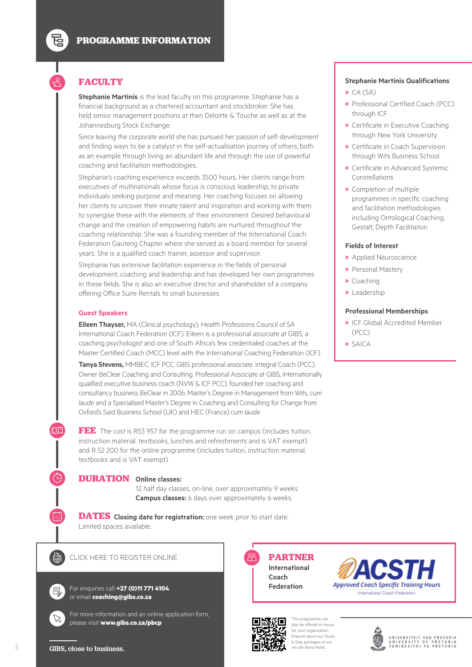# **FACULTY**

豆

 $\Omega$ 

**Stephanie Martinis** is the lead faculty on this programme. Stephanie has a financial background as a chartered accountant and stockbroker. She has held senior management positions at then Deloitte & Touche as well as at the Johannesburg Stock Exchange.

Since leaving the corporate world she has pursued her passion of self-development and finding ways to be a catalyst in the self-actualisation journey of others; both as an example through living an abundant life and through the use of powerful coaching and facilitation methodologies.

Stephanie's coaching experience exceeds 3500 hours. Her clients range from executives of multinationals whose focus is conscious leadership, to private individuals seeking purpose and meaning. Her coaching focuses on allowing her clients to uncover their innate talent and inspiration and working with them to synergise these with the elements of their environment. Desired behavioural change and the creation of empowering habits are nurtured throughout the coaching relationship. She was a founding member of the International Coach Federation Gauteng Chapter where she served as a board member for several years. She is a qualified coach trainer, assessor and supervisor.

Stephanie has extensive facilitation experience in the fields of personal development, coaching and leadership and has developed her own programmes in these fields. She is also an executive director and shareholder of a company offering Office Suite Rentals to small businesses.

#### **Guest Speakers**

**Eileen Thayser,** MA (Clinical psychology), Health Professions Council of SA International Coach Federation (ICF). Eileen is a professional associate at GIBS, a coaching psychologist and one of South Africa's few credentialed coaches at the Master Certified Coach (MCC) level with the International Coaching Federation (ICF).

**Tanya Stevens,** MMBEC, ICF PCC, GIBS professional associate. Integral Coach (PCC), Owner BeClear Coaching and Consulting. Professional Associate at GIBS, internationally qualified executive business coach (NVW & ICF PCC), founded her coaching and consultancy business BeClear in 2006. Master's Degree in Management from Wits, *cum laude* and a Specialised Master's Degree in Coaching and Consulting for Change from Oxford's Said Business School (UK) and HEC (France) *cum laude.*

**FEE** The cost is R53 957 for the programme run on campus (includes tuition, instruction material, textbooks, lunches and refreshments and is VAT exempt) and R 52 200 for the online programme (includes tuition, instruction material, textbooks and is VAT exempt)

#### **DURATION Online classes:**

12 half day classes, on-line, over approximately 9 weeks **Campus classes:** 6 days over approximately 6 weeks.

**DATES Closing date for registration:** one week prior to start date. Limited spaces available.



<u>්ට</u>

CLICK HERE TO REGISTER ONLINE

 $\mathbb{Z}$ 

For enquiries call **+27 (0)11 771 4104** or email **coaching@gibs.co.za**

For more information and an online application form, please visit **www.gibs.co.za/pbcp**

**PARTNER International Coach Federation**



This programme can also be offered in-house for your organisation. Enquire about our Study & Stay packages at our on-site Illovo Hotel.

#### **Stephanie Martinis Qualifications**

- $\blacktriangleright$  CA (SA)
- > Professional Certified Coach (PCC) through ICF
- > Certificate in Executive Coaching through New York University
- > Certificate in Coach Supervision through Wits Business School
- > Certificate in Advanced Systemic Constellations
- > Completion of multiple programmes in specific coaching and facilitation methodologies including Ontological Coaching, Gestalt, Depth Facilitaiton

#### **Fields of Interest**

- > Applied Neuroscience
- > Personal Mastery
- > Coaching
- > Leadership

#### **Professional Memberships**

- > ICF Global Accredited Member (PCC)
- > SAICA